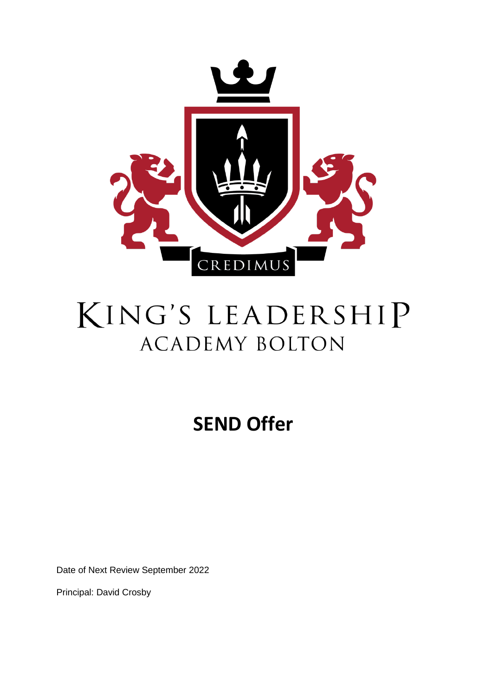

# KING'S LEADERSHIP **ACADEMY BOLTON**

## **SEND Offer**

Date of Next Review September 2022

Principal: David Crosby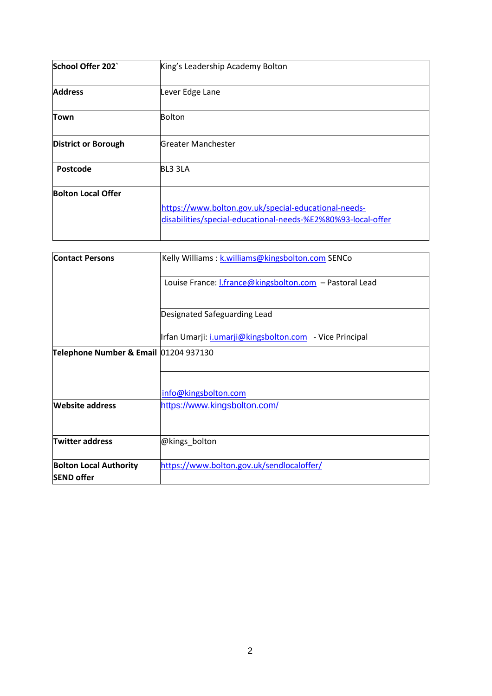| School Offer 202`          | King's Leadership Academy Bolton                                                                                     |  |
|----------------------------|----------------------------------------------------------------------------------------------------------------------|--|
| <b>Address</b>             | Lever Edge Lane                                                                                                      |  |
| Town                       | Bolton                                                                                                               |  |
| <b>District or Borough</b> | Greater Manchester                                                                                                   |  |
| Postcode                   | BL3 3LA                                                                                                              |  |
| <b>Bolton Local Offer</b>  | https://www.bolton.gov.uk/special-educational-needs-<br>disabilities/special-educational-needs-%E2%80%93-local-offer |  |

| <b>Contact Persons</b>                             | Kelly Williams: k.williams@kingsbolton.com SENCo               |  |
|----------------------------------------------------|----------------------------------------------------------------|--|
|                                                    | Louise France: <i>I.france@kingsbolton.com</i> - Pastoral Lead |  |
|                                                    | Designated Safeguarding Lead                                   |  |
|                                                    | Irfan Umarji: <i>i.umarji@kingsbolton.com</i> - Vice Principal |  |
| Telephone Number & Email 01204 937130              |                                                                |  |
|                                                    | info@kingsbolton.com                                           |  |
| <b>Website address</b>                             | https://www.kingsbolton.com/                                   |  |
| <b>Twitter address</b>                             | @kings_bolton                                                  |  |
| <b>Bolton Local Authority</b><br><b>SEND offer</b> | https://www.bolton.gov.uk/sendlocaloffer/                      |  |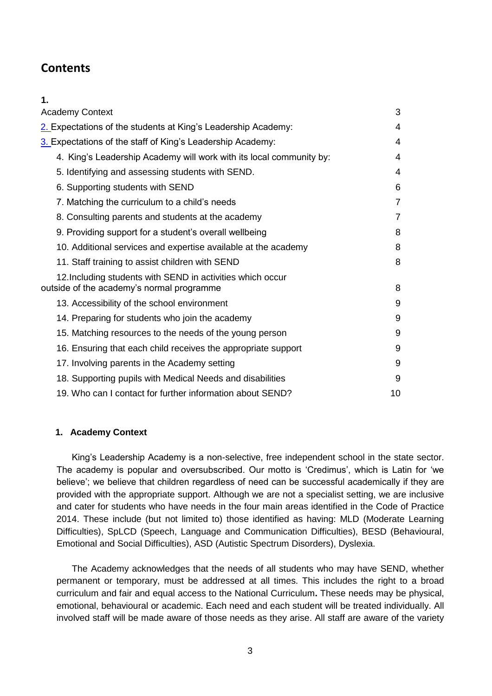## **Contents**

**1.** 

| <b>Academy Context</b>                                                                                  | 3              |
|---------------------------------------------------------------------------------------------------------|----------------|
| 2. Expectations of the students at King's Leadership Academy:                                           | 4              |
| 3. Expectations of the staff of King's Leadership Academy:                                              | 4              |
| 4. King's Leadership Academy will work with its local community by:                                     | 4              |
| 5. Identifying and assessing students with SEND.                                                        | 4              |
| 6. Supporting students with SEND                                                                        | 6              |
| 7. Matching the curriculum to a child's needs                                                           | $\overline{7}$ |
| 8. Consulting parents and students at the academy                                                       | 7              |
| 9. Providing support for a student's overall wellbeing                                                  | 8              |
| 10. Additional services and expertise available at the academy                                          | 8              |
| 11. Staff training to assist children with SEND                                                         | 8              |
| 12. Including students with SEND in activities which occur<br>outside of the academy's normal programme | 8              |
| 13. Accessibility of the school environment                                                             | 9              |
| 14. Preparing for students who join the academy                                                         | 9              |
| 15. Matching resources to the needs of the young person                                                 | 9              |
| 16. Ensuring that each child receives the appropriate support                                           | 9              |
| 17. Involving parents in the Academy setting                                                            | 9              |
| 18. Supporting pupils with Medical Needs and disabilities                                               | 9              |
| 19. Who can I contact for further information about SEND?                                               | 10             |

## <span id="page-2-0"></span>**1. Academy Context**

King's Leadership Academy is a non-selective, free independent school in the state sector. The academy is popular and oversubscribed. Our motto is 'Credimus', which is Latin for 'we believe'; we believe that children regardless of need can be successful academically if they are provided with the appropriate support. Although we are not a specialist setting, we are inclusive and cater for students who have needs in the four main areas identified in the Code of Practice 2014. These include (but not limited to) those identified as having: MLD (Moderate Learning Difficulties), SpLCD (Speech, Language and Communication Difficulties), BESD (Behavioural, Emotional and Social Difficulties), ASD (Autistic Spectrum Disorders), Dyslexia.

The Academy acknowledges that the needs of all students who may have SEND, whether permanent or temporary, must be addressed at all times. This includes the right to a broad curriculum and fair and equal access to the National Curriculum**.** These needs may be physical, emotional, behavioural or academic. Each need and each student will be treated individually. All involved staff will be made aware of those needs as they arise. All staff are aware of the variety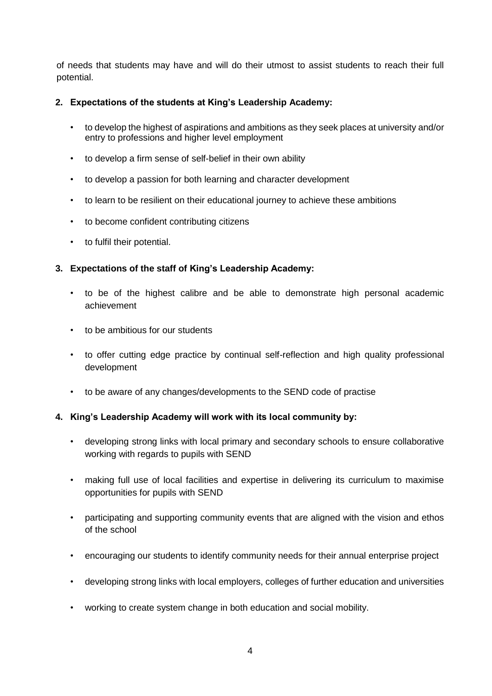of needs that students may have and will do their utmost to assist students to reach their full potential.

## <span id="page-3-0"></span>**2. Expectations of the students at King's Leadership Academy:**

- to develop the highest of aspirations and ambitions as they seek places at university and/or entry to professions and higher level employment
- to develop a firm sense of self-belief in their own ability
- to develop a passion for both learning and character development
- to learn to be resilient on their educational journey to achieve these ambitions
- to become confident contributing citizens
- to fulfil their potential.

## <span id="page-3-1"></span>**3. Expectations of the staff of King's Leadership Academy:**

- to be of the highest calibre and be able to demonstrate high personal academic achievement
- to be ambitious for our students
- to offer cutting edge practice by continual self-reflection and high quality professional development
- to be aware of any changes/developments to the SEND code of practise

## <span id="page-3-2"></span>**4. King's Leadership Academy will work with its local community by:**

- developing strong links with local primary and secondary schools to ensure collaborative working with regards to pupils with SEND
- making full use of local facilities and expertise in delivering its curriculum to maximise opportunities for pupils with SEND
- participating and supporting community events that are aligned with the vision and ethos of the school
- encouraging our students to identify community needs for their annual enterprise project
- developing strong links with local employers, colleges of further education and universities
- working to create system change in both education and social mobility.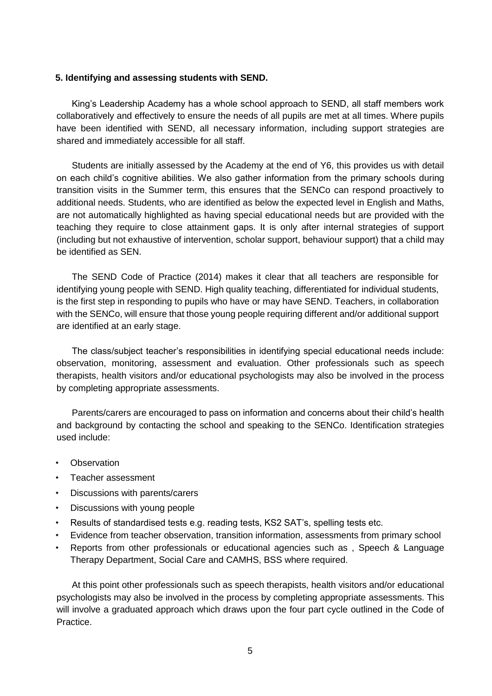#### <span id="page-4-0"></span>**5. Identifying and assessing students with SEND.**

King's Leadership Academy has a whole school approach to SEND, all staff members work collaboratively and effectively to ensure the needs of all pupils are met at all times. Where pupils have been identified with SEND, all necessary information, including support strategies are shared and immediately accessible for all staff.

Students are initially assessed by the Academy at the end of Y6, this provides us with detail on each child's cognitive abilities. We also gather information from the primary schools during transition visits in the Summer term, this ensures that the SENCo can respond proactively to additional needs. Students, who are identified as below the expected level in English and Maths, are not automatically highlighted as having special educational needs but are provided with the teaching they require to close attainment gaps. It is only after internal strategies of support (including but not exhaustive of intervention, scholar support, behaviour support) that a child may be identified as SEN.

The SEND Code of Practice (2014) makes it clear that all teachers are responsible for identifying young people with SEND. High quality teaching, differentiated for individual students, is the first step in responding to pupils who have or may have SEND. Teachers, in collaboration with the SENCo, will ensure that those young people requiring different and/or additional support are identified at an early stage.

The class/subject teacher's responsibilities in identifying special educational needs include: observation, monitoring, assessment and evaluation. Other professionals such as speech therapists, health visitors and/or educational psychologists may also be involved in the process by completing appropriate assessments.

Parents/carers are encouraged to pass on information and concerns about their child's health and background by contacting the school and speaking to the SENCo. Identification strategies used include:

- **Observation**
- Teacher assessment
- Discussions with parents/carers
- Discussions with young people
- Results of standardised tests e.g. reading tests, KS2 SAT's, spelling tests etc.
- Evidence from teacher observation, transition information, assessments from primary school
- Reports from other professionals or educational agencies such as , Speech & Language Therapy Department, Social Care and CAMHS, BSS where required.

At this point other professionals such as speech therapists, health visitors and/or educational psychologists may also be involved in the process by completing appropriate assessments. This will involve a graduated approach which draws upon the four part cycle outlined in the Code of Practice.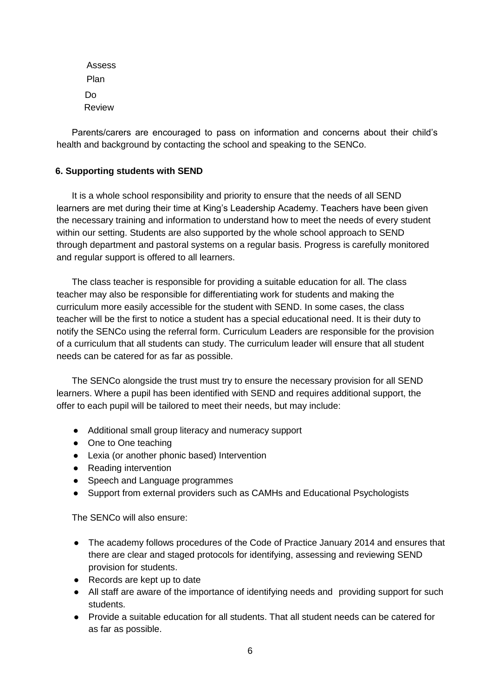Assess Plan Do Review

Parents/carers are encouraged to pass on information and concerns about their child's health and background by contacting the school and speaking to the SENCo.

## <span id="page-5-0"></span>**6. Supporting students with SEND**

It is a whole school responsibility and priority to ensure that the needs of all SEND learners are met during their time at King's Leadership Academy. Teachers have been given the necessary training and information to understand how to meet the needs of every student within our setting. Students are also supported by the whole school approach to SEND through department and pastoral systems on a regular basis. Progress is carefully monitored and regular support is offered to all learners.

The class teacher is responsible for providing a suitable education for all. The class teacher may also be responsible for differentiating work for students and making the curriculum more easily accessible for the student with SEND. In some cases, the class teacher will be the first to notice a student has a special educational need. It is their duty to notify the SENCo using the referral form. Curriculum Leaders are responsible for the provision of a curriculum that all students can study. The curriculum leader will ensure that all student needs can be catered for as far as possible.

The SENCo alongside the trust must try to ensure the necessary provision for all SEND learners. Where a pupil has been identified with SEND and requires additional support, the offer to each pupil will be tailored to meet their needs, but may include:

- Additional small group literacy and numeracy support
- One to One teaching
- Lexia (or another phonic based) Intervention
- Reading intervention
- Speech and Language programmes
- Support from external providers such as CAMHs and Educational Psychologists

The SENCo will also ensure:

- The academy follows procedures of the Code of Practice January 2014 and ensures that there are clear and staged protocols for identifying, assessing and reviewing SEND provision for students.
- Records are kept up to date
- All staff are aware of the importance of identifying needs and providing support for such students.
- Provide a suitable education for all students. That all student needs can be catered for as far as possible.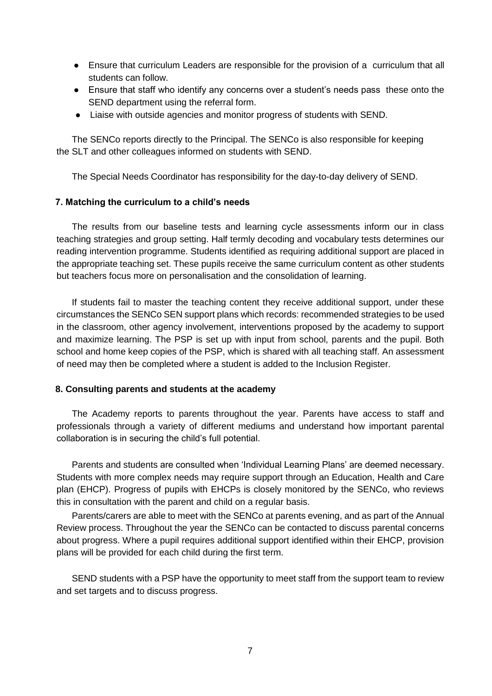- Ensure that curriculum Leaders are responsible for the provision of a curriculum that all students can follow.
- Ensure that staff who identify any concerns over a student's needs pass these onto the SEND department using the referral form.
- Liaise with outside agencies and monitor progress of students with SEND.

The SENCo reports directly to the Principal. The SENCo is also responsible for keeping the SLT and other colleagues informed on students with SEND.

The Special Needs Coordinator has responsibility for the day-to-day delivery of SEND.

#### <span id="page-6-0"></span>**7. Matching the curriculum to a child's needs**

The results from our baseline tests and learning cycle assessments inform our in class teaching strategies and group setting. Half termly decoding and vocabulary tests determines our reading intervention programme. Students identified as requiring additional support are placed in the appropriate teaching set. These pupils receive the same curriculum content as other students but teachers focus more on personalisation and the consolidation of learning.

If students fail to master the teaching content they receive additional support, under these circumstances the SENCo SEN support plans which records: recommended strategies to be used in the classroom, other agency involvement, interventions proposed by the academy to support and maximize learning. The PSP is set up with input from school, parents and the pupil. Both school and home keep copies of the PSP, which is shared with all teaching staff. An assessment of need may then be completed where a student is added to the Inclusion Register.

#### <span id="page-6-1"></span>**8. Consulting parents and students at the academy**

The Academy reports to parents throughout the year. Parents have access to staff and professionals through a variety of different mediums and understand how important parental collaboration is in securing the child's full potential.

Parents and students are consulted when 'Individual Learning Plans' are deemed necessary. Students with more complex needs may require support through an Education, Health and Care plan (EHCP). Progress of pupils with EHCPs is closely monitored by the SENCo, who reviews this in consultation with the parent and child on a regular basis.

Parents/carers are able to meet with the SENCo at parents evening, and as part of the Annual Review process. Throughout the year the SENCo can be contacted to discuss parental concerns about progress. Where a pupil requires additional support identified within their EHCP, provision plans will be provided for each child during the first term.

SEND students with a PSP have the opportunity to meet staff from the support team to review and set targets and to discuss progress.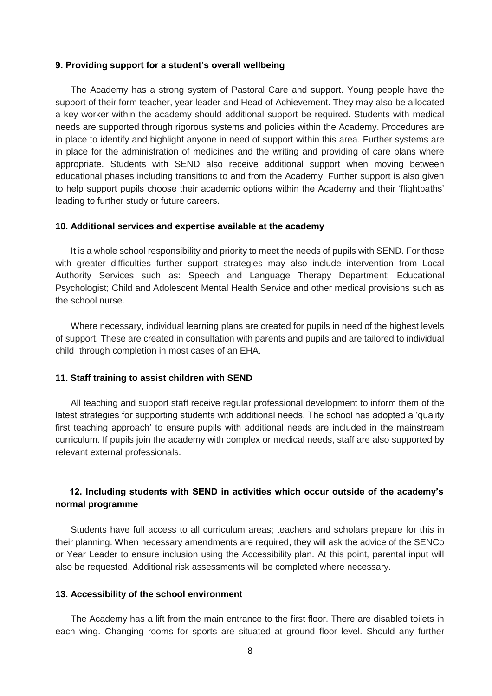#### <span id="page-7-0"></span>**9. Providing support for a student's overall wellbeing**

The Academy has a strong system of Pastoral Care and support. Young people have the support of their form teacher, year leader and Head of Achievement. They may also be allocated a key worker within the academy should additional support be required. Students with medical needs are supported through rigorous systems and policies within the Academy. Procedures are in place to identify and highlight anyone in need of support within this area. Further systems are in place for the administration of medicines and the writing and providing of care plans where appropriate. Students with SEND also receive additional support when moving between educational phases including transitions to and from the Academy. Further support is also given to help support pupils choose their academic options within the Academy and their 'flightpaths' leading to further study or future careers.

#### <span id="page-7-1"></span>**10. Additional services and expertise available at the academy**

It is a whole school responsibility and priority to meet the needs of pupils with SEND. For those with greater difficulties further support strategies may also include intervention from Local Authority Services such as: Speech and Language Therapy Department; Educational Psychologist; Child and Adolescent Mental Health Service and other medical provisions such as the school nurse.

Where necessary, individual learning plans are created for pupils in need of the highest levels of support. These are created in consultation with parents and pupils and are tailored to individual child through completion in most cases of an EHA.

#### <span id="page-7-2"></span>**11. Staff training to assist children with SEND**

All teaching and support staff receive regular professional development to inform them of the latest strategies for supporting students with additional needs. The school has adopted a 'quality first teaching approach' to ensure pupils with additional needs are included in the mainstream curriculum. If pupils join the academy with complex or medical needs, staff are also supported by relevant external professionals.

## <span id="page-7-3"></span>**12. Including students with SEND in activities which occur outside of the academy's normal programme**

Students have full access to all curriculum areas; teachers and scholars prepare for this in their planning. When necessary amendments are required, they will ask the advice of the SENCo or Year Leader to ensure inclusion using the Accessibility plan. At this point, parental input will also be requested. Additional risk assessments will be completed where necessary.

#### <span id="page-7-4"></span>**13. Accessibility of the school environment**

The Academy has a lift from the main entrance to the first floor. There are disabled toilets in each wing. Changing rooms for sports are situated at ground floor level. Should any further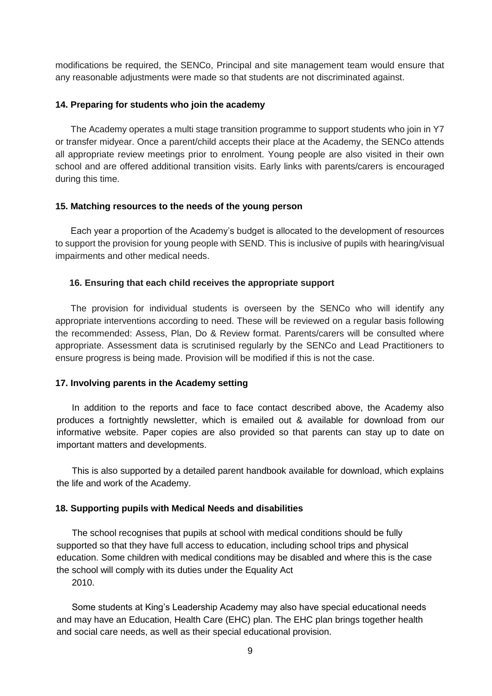modifications be required, the SENCo, Principal and site management team would ensure that any reasonable adjustments were made so that students are not discriminated against.

#### <span id="page-8-0"></span>**14. Preparing for students who join the academy**

The Academy operates a multi stage transition programme to support students who join in Y7 or transfer midyear. Once a parent/child accepts their place at the Academy, the SENCo attends all appropriate review meetings prior to enrolment. Young people are also visited in their own school and are offered additional transition visits. Early links with parents/carers is encouraged during this time.

#### <span id="page-8-1"></span>**15. Matching resources to the needs of the young person**

Each year a proportion of the Academy's budget is allocated to the development of resources to support the provision for young people with SEND. This is inclusive of pupils with hearing/visual impairments and other medical needs.

#### <span id="page-8-2"></span>**16. Ensuring that each child receives the appropriate support**

The provision for individual students is overseen by the SENCo who will identify any appropriate interventions according to need. These will be reviewed on a regular basis following the recommended: Assess, Plan, Do & Review format. Parents/carers will be consulted where appropriate. Assessment data is scrutinised regularly by the SENCo and Lead Practitioners to ensure progress is being made. Provision will be modified if this is not the case.

#### <span id="page-8-3"></span>**17. Involving parents in the Academy setting**

In addition to the reports and face to face contact described above, the Academy also produces a fortnightly newsletter, which is emailed out & available for download from our informative website. Paper copies are also provided so that parents can stay up to date on important matters and developments.

This is also supported by a detailed parent handbook available for download, which explains the life and work of the Academy.

#### <span id="page-8-4"></span>**18. Supporting pupils with Medical Needs and disabilities**

The school recognises that pupils at school with medical conditions should be fully supported so that they have full access to education, including school trips and physical education. Some children with medical conditions may be disabled and where this is the case the school will comply with its duties under the Equality Act 2010.

Some students at King's Leadership Academy may also have special educational needs and may have an Education, Health Care (EHC) plan. The EHC plan brings together health and social care needs, as well as their special educational provision.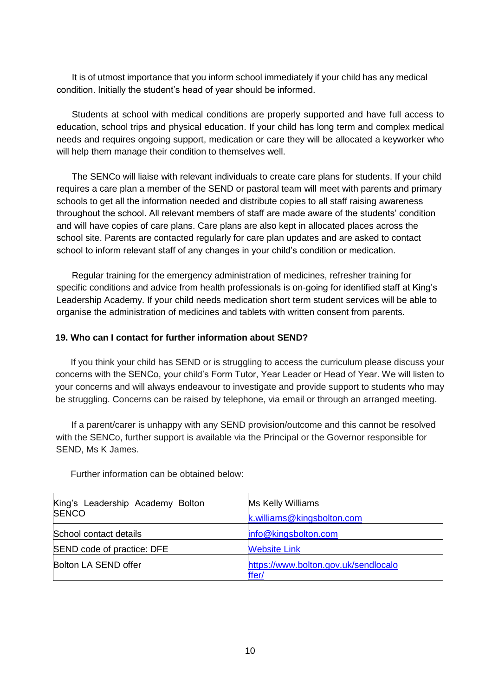It is of utmost importance that you inform school immediately if your child has any medical condition. Initially the student's head of year should be informed.

Students at school with medical conditions are properly supported and have full access to education, school trips and physical education. If your child has long term and complex medical needs and requires ongoing support, medication or care they will be allocated a keyworker who will help them manage their condition to themselves well.

The SENCo will liaise with relevant individuals to create care plans for students. If your child requires a care plan a member of the SEND or pastoral team will meet with parents and primary schools to get all the information needed and distribute copies to all staff raising awareness throughout the school. All relevant members of staff are made aware of the students' condition and will have copies of care plans. Care plans are also kept in allocated places across the school site. Parents are contacted regularly for care plan updates and are asked to contact school to inform relevant staff of any changes in your child's condition or medication.

Regular training for the emergency administration of medicines, refresher training for specific conditions and advice from health professionals is on-going for identified staff at King's Leadership Academy. If your child needs medication short term student services will be able to organise the administration of medicines and tablets with written consent from parents.

### <span id="page-9-0"></span>**19. Who can I contact for further information about SEND?**

If you think your child has SEND or is struggling to access the curriculum please discuss your concerns with the SENCo, your child's Form Tutor, Year Leader or Head of Year. We will listen to your concerns and will always endeavour to investigate and provide support to students who may be struggling. Concerns can be raised by telephone, via email or through an arranged meeting.

If a parent/carer is unhappy with any SEND provision/outcome and this cannot be resolved with the SENCo, further support is available via the Principal or the Governor responsible for SEND, Ms K James.

| King's Leadership Academy Bolton<br><b>SENCO</b> | Ms Kelly Williams                             |
|--------------------------------------------------|-----------------------------------------------|
|                                                  | k.williams@kingsbolton.com                    |
| School contact details                           | info@kingsbolton.com                          |
| SEND code of practice: DFE                       | <b>Website Link</b>                           |
| Bolton LA SEND offer                             | https://www.bolton.gov.uk/sendlocalo<br>ffer/ |

Further information can be obtained below: